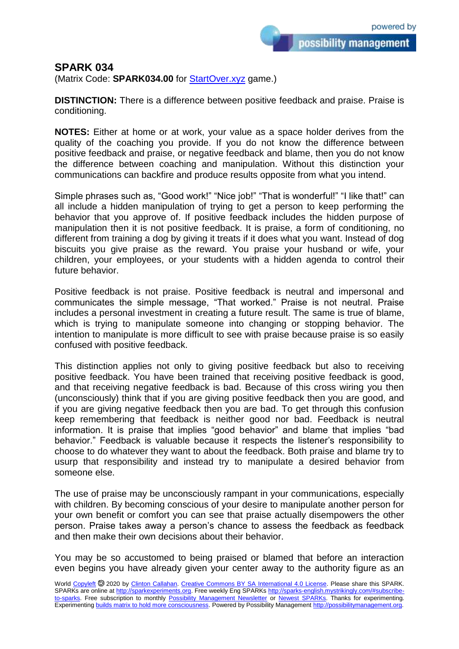possibility management

## **SPARK 034**

(Matrix Code: **SPARK034.00** for **StartOver.xyz** game.)

**DISTINCTION:** There is a difference between positive feedback and praise. Praise is conditioning.

**NOTES:** Either at home or at work, your value as a space holder derives from the quality of the coaching you provide. If you do not know the difference between positive feedback and praise, or negative feedback and blame, then you do not know the difference between coaching and manipulation. Without this distinction your communications can backfire and produce results opposite from what you intend.

Simple phrases such as, "Good work!" "Nice job!" "That is wonderful!" "I like that!" can all include a hidden manipulation of trying to get a person to keep performing the behavior that you approve of. If positive feedback includes the hidden purpose of manipulation then it is not positive feedback. It is praise, a form of conditioning, no different from training a dog by giving it treats if it does what you want. Instead of dog biscuits you give praise as the reward. You praise your husband or wife, your children, your employees, or your students with a hidden agenda to control their future behavior.

Positive feedback is not praise. Positive feedback is neutral and impersonal and communicates the simple message, "That worked." Praise is not neutral. Praise includes a personal investment in creating a future result. The same is true of blame, which is trying to manipulate someone into changing or stopping behavior. The intention to manipulate is more difficult to see with praise because praise is so easily confused with positive feedback.

This distinction applies not only to giving positive feedback but also to receiving positive feedback. You have been trained that receiving positive feedback is good, and that receiving negative feedback is bad. Because of this cross wiring you then (unconsciously) think that if you are giving positive feedback then you are good, and if you are giving negative feedback then you are bad. To get through this confusion keep remembering that feedback is neither good nor bad. Feedback is neutral information. It is praise that implies "good behavior" and blame that implies "bad behavior." Feedback is valuable because it respects the listener's responsibility to choose to do whatever they want to about the feedback. Both praise and blame try to usurp that responsibility and instead try to manipulate a desired behavior from someone else.

The use of praise may be unconsciously rampant in your communications, especially with children. By becoming conscious of your desire to manipulate another person for your own benefit or comfort you can see that praise actually disempowers the other person. Praise takes away a person's chance to assess the feedback as feedback and then make their own decisions about their behavior.

You may be so accustomed to being praised or blamed that before an interaction even begins you have already given your center away to the authority figure as an

World [Copyleft](https://en.wikipedia.org/wiki/Copyleft) @ 2020 by [Clinton Callahan.](http://clintoncallahan.mystrikingly.com/) [Creative Commons BY SA International 4.0 License.](https://creativecommons.org/licenses/by-sa/4.0/) Please share this SPARK. SPARKs are online at [http://sparkexperiments.org.](http://sparks-english.mystrikingly.com/) Free weekly Eng SPARKs [http://sparks-english.mystrikingly.com/#subscribe](http://sparks-english.mystrikingly.com/#subscribe-to-sparks)[to-sparks.](http://sparks-english.mystrikingly.com/#subscribe-to-sparks) Free subscription to monthly [Possibility Management Newsletter](https://possibilitymanagement.org/news/) or [Newest SPARKs.](https://www.clintoncallahan.org/newsletter-1) Thanks for experimenting. Experimentin[g builds matrix to hold more consciousness.](http://spaceport.mystrikingly.com/) Powered by Possibility Managemen[t http://possibilitymanagement.org.](http://possibilitymanagement.org/)